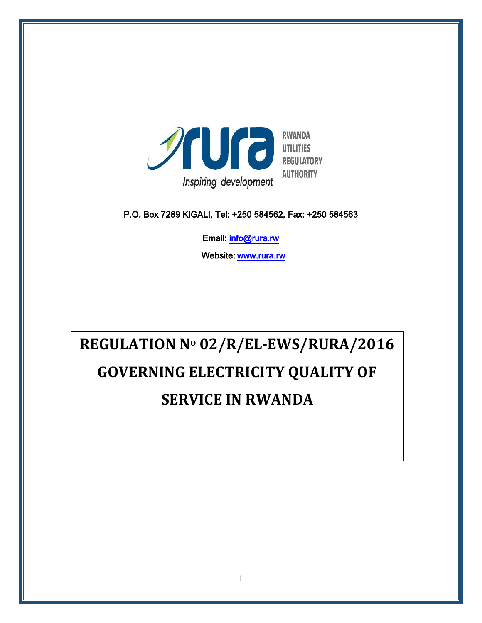

P.O. Box 7289 KIGALI, Tel: +250 584562, Fax: +250 584563

Email: info@rura.rw

Website: [www.rura.rw](http://www.rura.rw/)

# **REGULATION N<sup>o</sup> 02/R/EL-EWS/RURA/2016 GOVERNING ELECTRICITY QUALITY OF SERVICE IN RWANDA**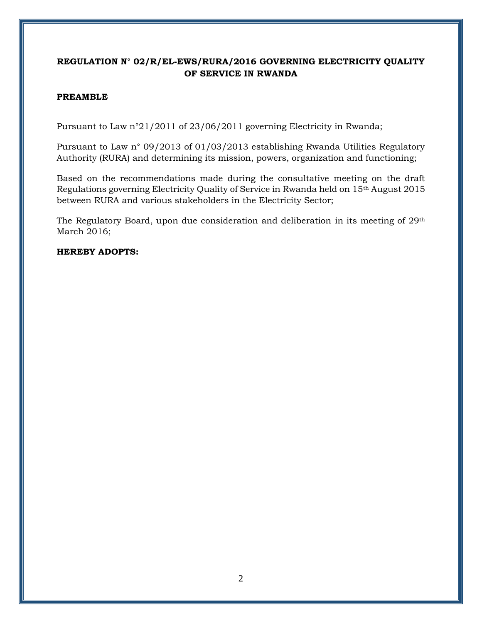# **REGULATION N° 02/R/EL-EWS/RURA/2016 GOVERNING ELECTRICITY QUALITY OF SERVICE IN RWANDA**

## **PREAMBLE**

Pursuant to Law n°21/2011 of 23/06/2011 governing Electricity in Rwanda;

Pursuant to Law n° 09/2013 of 01/03/2013 establishing Rwanda Utilities Regulatory Authority (RURA) and determining its mission, powers, organization and functioning;

Based on the recommendations made during the consultative meeting on the draft Regulations governing Electricity Quality of Service in Rwanda held on 15th August 2015 between RURA and various stakeholders in the Electricity Sector;

The Regulatory Board, upon due consideration and deliberation in its meeting of 29<sup>th</sup> March 2016;

**HEREBY ADOPTS:**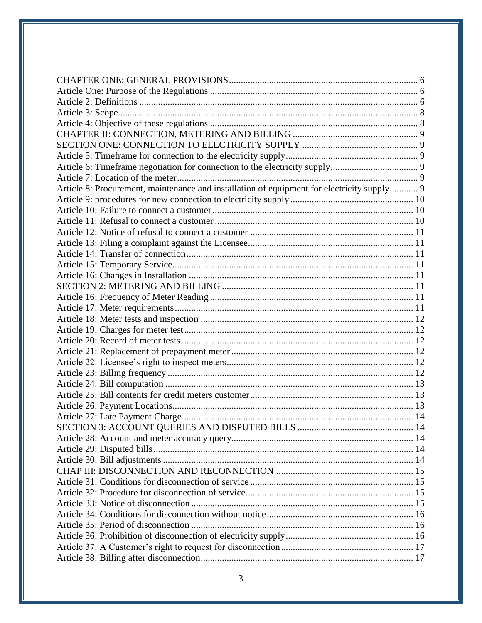| Article 8: Procurement, maintenance and installation of equipment for electricity supply 9 |  |
|--------------------------------------------------------------------------------------------|--|
|                                                                                            |  |
|                                                                                            |  |
|                                                                                            |  |
|                                                                                            |  |
|                                                                                            |  |
|                                                                                            |  |
|                                                                                            |  |
|                                                                                            |  |
|                                                                                            |  |
|                                                                                            |  |
|                                                                                            |  |
|                                                                                            |  |
|                                                                                            |  |
|                                                                                            |  |
|                                                                                            |  |
|                                                                                            |  |
|                                                                                            |  |
|                                                                                            |  |
|                                                                                            |  |
|                                                                                            |  |
|                                                                                            |  |
|                                                                                            |  |
|                                                                                            |  |
|                                                                                            |  |
|                                                                                            |  |
|                                                                                            |  |
|                                                                                            |  |
|                                                                                            |  |
|                                                                                            |  |
|                                                                                            |  |
|                                                                                            |  |
|                                                                                            |  |
|                                                                                            |  |
|                                                                                            |  |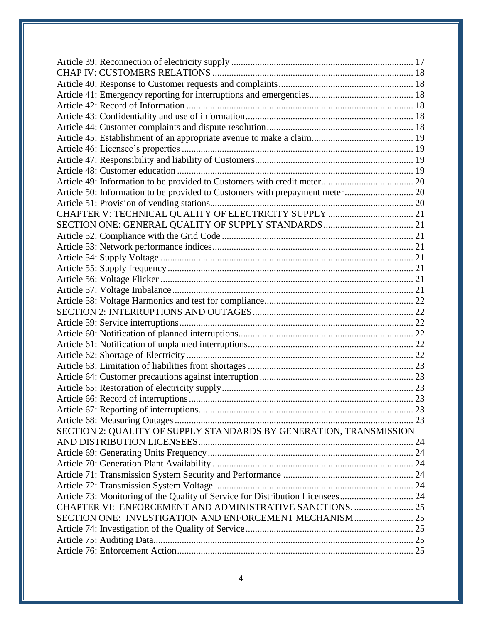| SECTION 2: QUALITY OF SUPPLY STANDARDS BY GENERATION, TRANSMISSION             |  |
|--------------------------------------------------------------------------------|--|
|                                                                                |  |
|                                                                                |  |
|                                                                                |  |
|                                                                                |  |
|                                                                                |  |
| Article 73: Monitoring of the Quality of Service for Distribution Licensees 24 |  |
| CHAPTER VI: ENFORCEMENT AND ADMINISTRATIVE SANCTIONS 25                        |  |
| SECTION ONE: INVESTIGATION AND ENFORCEMENT MECHANISM 25                        |  |
|                                                                                |  |
|                                                                                |  |
|                                                                                |  |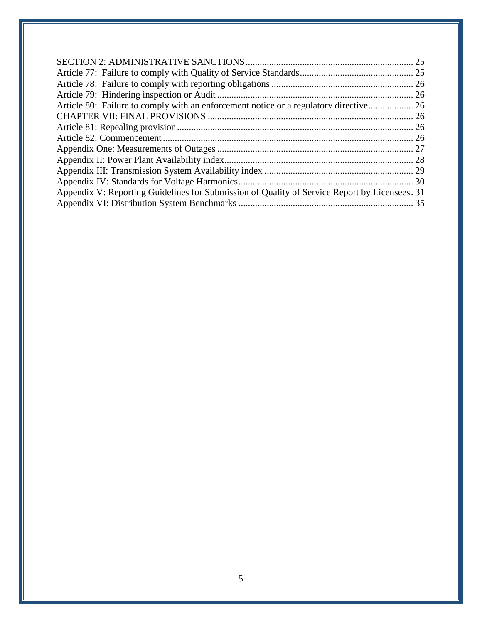| Appendix V: Reporting Guidelines for Submission of Quality of Service Report by Licensees. 31 |  |
|-----------------------------------------------------------------------------------------------|--|
|                                                                                               |  |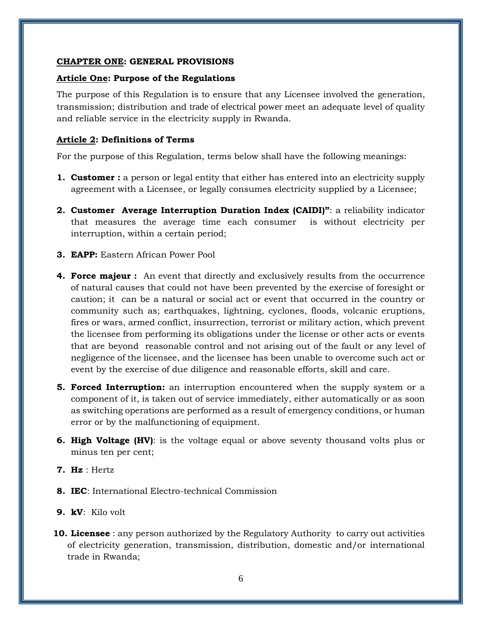#### <span id="page-5-0"></span>**CHAPTER ONE: GENERAL PROVISIONS**

#### <span id="page-5-1"></span>**Article One: Purpose of the Regulations**

The purpose of this Regulation is to ensure that any Licensee involved the generation, transmission; distribution and trade of electrical power meet an adequate level of quality and reliable service in the electricity supply in Rwanda.

#### <span id="page-5-2"></span>**Article 2: Definitions of Terms**

For the purpose of this Regulation, terms below shall have the following meanings:

- **1. Customer** : a person or legal entity that either has entered into an electricity supply agreement with a Licensee, or legally consumes electricity supplied by a Licensee;
- **2. Customer Average Interruption Duration Index (CAIDI)"**: a reliability indicator that measures the average time each consumer is without electricity per interruption, within a certain period;
- **3. EAPP:** Eastern African Power Pool
- **4. Force majeur :** An event that directly and exclusively results from the occurrence of natural causes that could not have been prevented by the exercise of foresight or caution; it can be a natural or social act or event that occurred in the country or community such as; earthquakes, lightning, cyclones, floods, volcanic eruptions, fires or wars, armed conflict, insurrection, terrorist or military action, which prevent the licensee from performing its obligations under the license or other acts or events that are beyond reasonable control and not arising out of the fault or any level of negligence of the licensee, and the licensee has been unable to overcome such act or event by the exercise of due diligence and reasonable efforts, skill and care.
- **5. Forced Interruption:** an interruption encountered when the supply system or a component of it, is taken out of service immediately, either automatically or as soon as switching operations are performed as a result of emergency conditions, or human error or by the malfunctioning of equipment.
- **6. High Voltage (HV)**: is the voltage equal or above seventy thousand volts plus or minus ten per cent;
- **7. Hz** : Hertz
- **8. IEC**: International Electro-technical Commission
- **9. kV**: Kilo volt
- **10. Licensee** : any person authorized by the Regulatory Authority to carry out activities of electricity generation, transmission, distribution, domestic and/or international trade in Rwanda;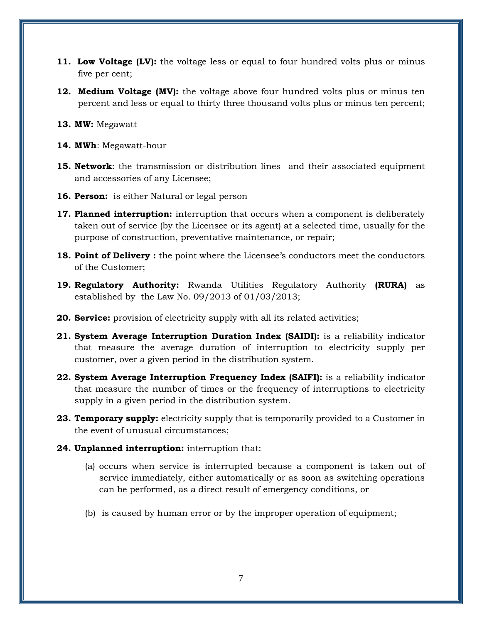- **11. Low Voltage (LV):** the voltage less or equal to four hundred volts plus or minus five per cent;
- **12. Medium Voltage (MV):** the voltage above four hundred volts plus or minus ten percent and less or equal to thirty three thousand volts plus or minus ten percent;
- **13. MW:** Megawatt
- **14. MWh**: Megawatt-hour
- **15. Network**: the transmission or distribution lines and their associated equipment and accessories of any Licensee;
- **16. Person:** is either Natural or legal person
- **17. Planned interruption:** interruption that occurs when a component is deliberately taken out of service (by the Licensee or its agent) at a selected time, usually for the purpose of construction, preventative maintenance, or repair;
- **18. Point of Delivery:** the point where the Licensee's conductors meet the conductors of the Customer;
- **19. Regulatory Authority:** Rwanda Utilities Regulatory Authority **(RURA)** as established by the Law No. 09/2013 of 01/03/2013;
- **20. Service:** provision of electricity supply with all its related activities;
- **21. System Average Interruption Duration Index (SAIDI):** is a reliability indicator that measure the average duration of interruption to electricity supply per customer, over a given period in the distribution system.
- **22. System Average Interruption Frequency Index (SAIFI):** is a reliability indicator that measure the number of times or the frequency of interruptions to electricity supply in a given period in the distribution system.
- **23. Temporary supply:** electricity supply that is temporarily provided to a Customer in the event of unusual circumstances;
- **24. Unplanned interruption:** interruption that:
	- (a) occurs when service is interrupted because a component is taken out of service immediately, either automatically or as soon as switching operations can be performed, as a direct result of emergency conditions, or
	- (b) is caused by human error or by the improper operation of equipment;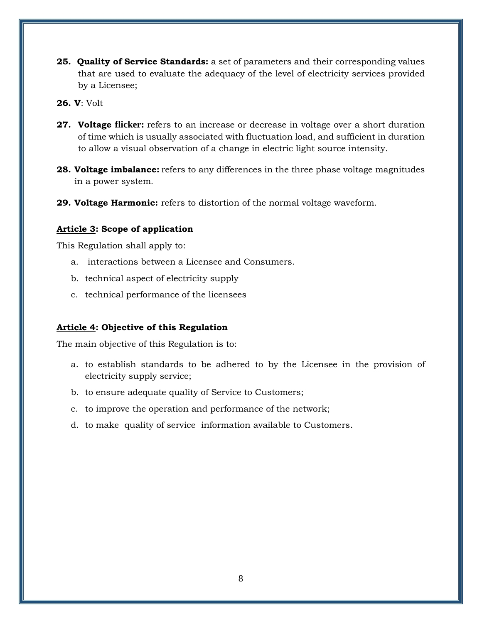- **25. Quality of Service Standards:** a set of parameters and their corresponding values that are used to evaluate the adequacy of the level of electricity services provided by a Licensee;
- **26. V**: Volt
- **27. Voltage flicker:** refers to an increase or decrease in voltage over a short duration of time which is usually associated with fluctuation load, and sufficient in duration to allow a visual observation of a change in electric light source intensity.
- **28. Voltage imbalance:** refers to any differences in the three phase voltage magnitudes in a power system.
- **29. Voltage Harmonic:** refers to distortion of the normal voltage waveform.

## <span id="page-7-0"></span>**Article 3: Scope of application**

This Regulation shall apply to:

- a. interactions between a Licensee and Consumers.
- b. technical aspect of electricity supply
- c. technical performance of the licensees

## <span id="page-7-1"></span>**Article 4: Objective of this Regulation**

The main objective of this Regulation is to:

- a. to establish standards to be adhered to by the Licensee in the provision of electricity supply service;
- b. to ensure adequate quality of Service to Customers;
- c. to improve the operation and performance of the network;
- d. to make quality of service information available to Customers.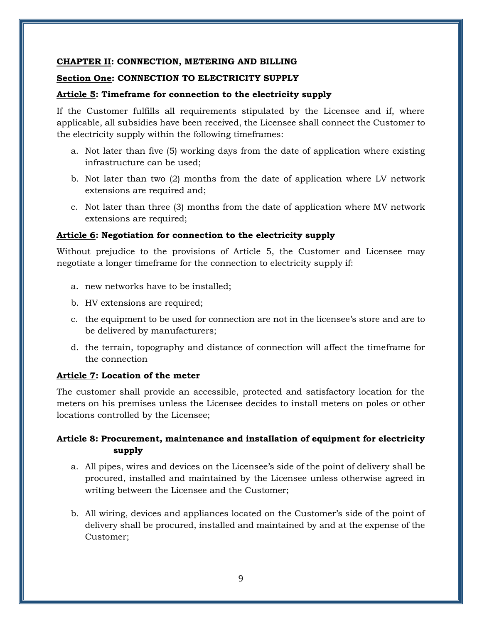#### <span id="page-8-0"></span>**CHAPTER II: CONNECTION, METERING AND BILLING**

#### <span id="page-8-1"></span>**Section One: CONNECTION TO ELECTRICITY SUPPLY**

#### <span id="page-8-2"></span>**Article 5: Timeframe for connection to the electricity supply**

If the Customer fulfills all requirements stipulated by the Licensee and if, where applicable, all subsidies have been received, the Licensee shall connect the Customer to the electricity supply within the following timeframes:

- a. Not later than five (5) working days from the date of application where existing infrastructure can be used;
- b. Not later than two (2) months from the date of application where LV network extensions are required and;
- c. Not later than three (3) months from the date of application where MV network extensions are required;

#### <span id="page-8-3"></span>**Article 6: Negotiation for connection to the electricity supply**

Without prejudice to the provisions of Article 5, the Customer and Licensee may negotiate a longer timeframe for the connection to electricity supply if:

- a. new networks have to be installed;
- b. HV extensions are required;
- c. the equipment to be used for connection are not in the licensee's store and are to be delivered by manufacturers;
- d. the terrain, topography and distance of connection will affect the timeframe for the connection

#### <span id="page-8-4"></span>**Article 7: Location of the meter**

The customer shall provide an accessible, protected and satisfactory location for the meters on his premises unless the Licensee decides to install meters on poles or other locations controlled by the Licensee;

## <span id="page-8-5"></span>**Article 8: Procurement, maintenance and installation of equipment for electricity supply**

- a. All pipes, wires and devices on the Licensee's side of the point of delivery shall be procured, installed and maintained by the Licensee unless otherwise agreed in writing between the Licensee and the Customer;
- b. All wiring, devices and appliances located on the Customer's side of the point of delivery shall be procured, installed and maintained by and at the expense of the Customer;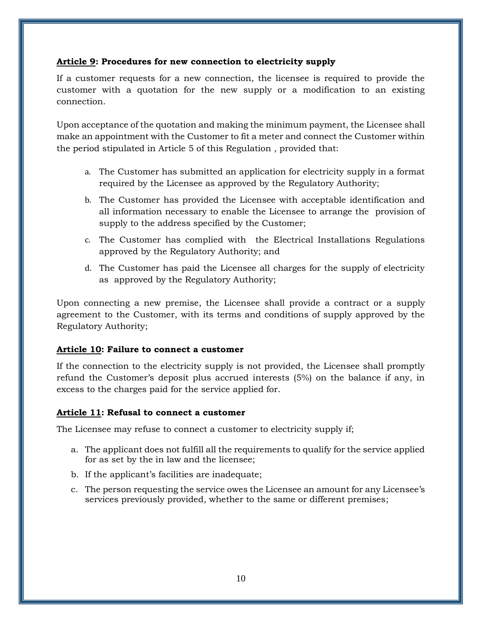## <span id="page-9-0"></span>**Article 9: Procedures for new connection to electricity supply**

If a customer requests for a new connection, the licensee is required to provide the customer with a quotation for the new supply or a modification to an existing connection.

Upon acceptance of the quotation and making the minimum payment, the Licensee shall make an appointment with the Customer to fit a meter and connect the Customer within the period stipulated in Article 5 of this Regulation , provided that:

- a. The Customer has submitted an application for electricity supply in a format required by the Licensee as approved by the Regulatory Authority;
- b. The Customer has provided the Licensee with acceptable identification and all information necessary to enable the Licensee to arrange the provision of supply to the address specified by the Customer;
- c. The Customer has complied with the Electrical Installations Regulations approved by the Regulatory Authority; and
- d. The Customer has paid the Licensee all charges for the supply of electricity as approved by the Regulatory Authority;

Upon connecting a new premise, the Licensee shall provide a contract or a supply agreement to the Customer, with its terms and conditions of supply approved by the Regulatory Authority;

## <span id="page-9-1"></span>**Article 10: Failure to connect a customer**

If the connection to the electricity supply is not provided, the Licensee shall promptly refund the Customer's deposit plus accrued interests (5%) on the balance if any, in excess to the charges paid for the service applied for.

## <span id="page-9-2"></span>**Article 11: Refusal to connect a customer**

The Licensee may refuse to connect a customer to electricity supply if;

- a. The applicant does not fulfill all the requirements to qualify for the service applied for as set by the in law and the licensee;
- b. If the applicant's facilities are inadequate;
- c. The person requesting the service owes the Licensee an amount for any Licensee's services previously provided, whether to the same or different premises;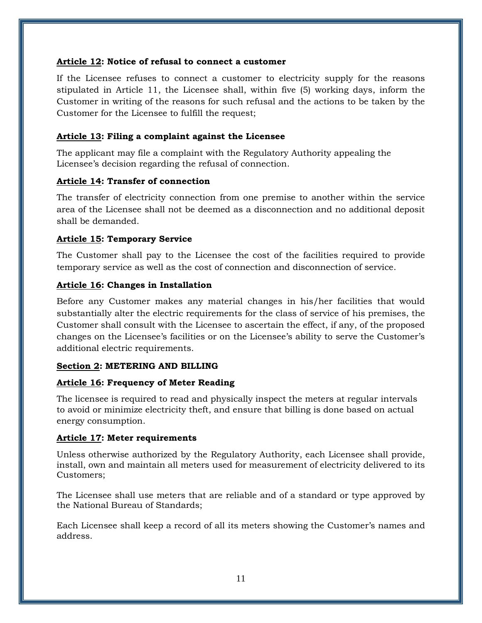#### <span id="page-10-0"></span>**Article 12: Notice of refusal to connect a customer**

If the Licensee refuses to connect a customer to electricity supply for the reasons stipulated in Article 11, the Licensee shall, within five (5) working days, inform the Customer in writing of the reasons for such refusal and the actions to be taken by the Customer for the Licensee to fulfill the request;

## <span id="page-10-1"></span>**Article 13: Filing a complaint against the Licensee**

The applicant may file a complaint with the Regulatory Authority appealing the Licensee's decision regarding the refusal of connection.

## <span id="page-10-2"></span>**Article 14: Transfer of connection**

The transfer of electricity connection from one premise to another within the service area of the Licensee shall not be deemed as a disconnection and no additional deposit shall be demanded.

## <span id="page-10-3"></span>**Article 15: Temporary Service**

The Customer shall pay to the Licensee the cost of the facilities required to provide temporary service as well as the cost of connection and disconnection of service.

## <span id="page-10-4"></span>**Article 16: Changes in Installation**

Before any Customer makes any material changes in his/her facilities that would substantially alter the electric requirements for the class of service of his premises, the Customer shall consult with the Licensee to ascertain the effect, if any, of the proposed changes on the Licensee's facilities or on the Licensee's ability to serve the Customer's additional electric requirements.

## <span id="page-10-5"></span>**Section 2: METERING AND BILLING**

# <span id="page-10-6"></span>**Article 16: Frequency of Meter Reading**

The licensee is required to read and physically inspect the meters at regular intervals to avoid or minimize electricity theft, and ensure that billing is done based on actual energy consumption.

## <span id="page-10-7"></span>**Article 17: Meter requirements**

Unless otherwise authorized by the Regulatory Authority, each Licensee shall provide, install, own and maintain all meters used for measurement of electricity delivered to its Customers;

The Licensee shall use meters that are reliable and of a standard or type approved by the National Bureau of Standards;

Each Licensee shall keep a record of all its meters showing the Customer's names and address.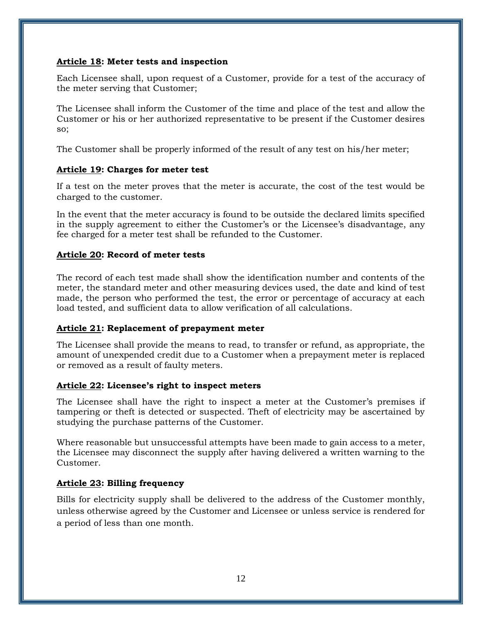#### <span id="page-11-0"></span>**Article 18: Meter tests and inspection**

Each Licensee shall, upon request of a Customer, provide for a test of the accuracy of the meter serving that Customer;

The Licensee shall inform the Customer of the time and place of the test and allow the Customer or his or her authorized representative to be present if the Customer desires so;

The Customer shall be properly informed of the result of any test on his/her meter;

## <span id="page-11-1"></span>**Article 19: Charges for meter test**

If a test on the meter proves that the meter is accurate, the cost of the test would be charged to the customer.

In the event that the meter accuracy is found to be outside the declared limits specified in the supply agreement to either the Customer's or the Licensee's disadvantage, any fee charged for a meter test shall be refunded to the Customer.

## <span id="page-11-2"></span>**Article 20: Record of meter tests**

The record of each test made shall show the identification number and contents of the meter, the standard meter and other measuring devices used, the date and kind of test made, the person who performed the test, the error or percentage of accuracy at each load tested, and sufficient data to allow verification of all calculations.

## <span id="page-11-3"></span>**Article 21: Replacement of prepayment meter**

The Licensee shall provide the means to read, to transfer or refund, as appropriate, the amount of unexpended credit due to a Customer when a prepayment meter is replaced or removed as a result of faulty meters.

## <span id="page-11-4"></span>**Article 22: Licensee's right to inspect meters**

The Licensee shall have the right to inspect a meter at the Customer's premises if tampering or theft is detected or suspected. Theft of electricity may be ascertained by studying the purchase patterns of the Customer.

Where reasonable but unsuccessful attempts have been made to gain access to a meter, the Licensee may disconnect the supply after having delivered a written warning to the Customer.

## <span id="page-11-5"></span>**Article 23: Billing frequency**

Bills for electricity supply shall be delivered to the address of the Customer monthly, unless otherwise agreed by the Customer and Licensee or unless service is rendered for a period of less than one month.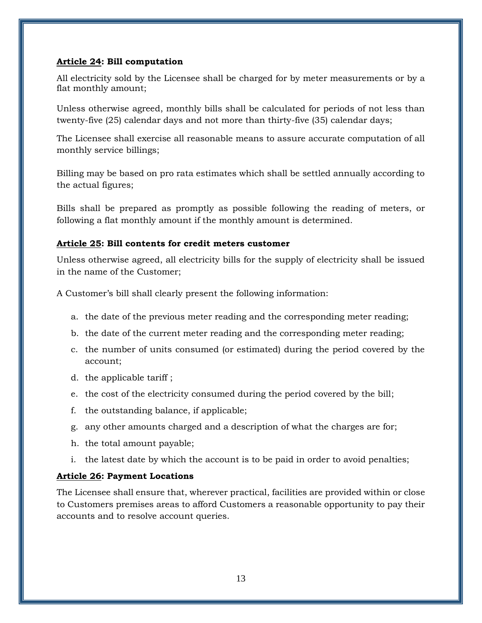#### <span id="page-12-0"></span>**Article 24: Bill computation**

All electricity sold by the Licensee shall be charged for by meter measurements or by a flat monthly amount;

Unless otherwise agreed, monthly bills shall be calculated for periods of not less than twenty-five (25) calendar days and not more than thirty-five (35) calendar days;

The Licensee shall exercise all reasonable means to assure accurate computation of all monthly service billings;

Billing may be based on pro rata estimates which shall be settled annually according to the actual figures;

Bills shall be prepared as promptly as possible following the reading of meters, or following a flat monthly amount if the monthly amount is determined.

## <span id="page-12-1"></span>**Article 25: Bill contents for credit meters customer**

Unless otherwise agreed, all electricity bills for the supply of electricity shall be issued in the name of the Customer;

A Customer's bill shall clearly present the following information:

- a. the date of the previous meter reading and the corresponding meter reading;
- b. the date of the current meter reading and the corresponding meter reading;
- c. the number of units consumed (or estimated) during the period covered by the account;
- d. the applicable tariff ;
- e. the cost of the electricity consumed during the period covered by the bill;
- f. the outstanding balance, if applicable;
- g. any other amounts charged and a description of what the charges are for;
- h. the total amount payable;
- i. the latest date by which the account is to be paid in order to avoid penalties;

## <span id="page-12-2"></span>**Article 26: Payment Locations**

The Licensee shall ensure that, wherever practical, facilities are provided within or close to Customers premises areas to afford Customers a reasonable opportunity to pay their accounts and to resolve account queries.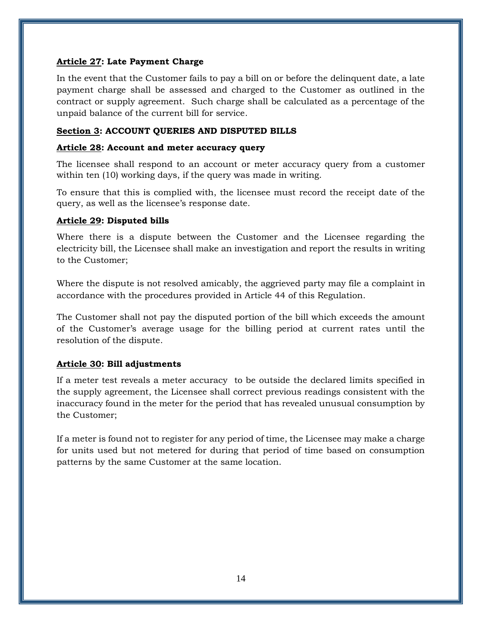#### <span id="page-13-0"></span>**Article 27: Late Payment Charge**

In the event that the Customer fails to pay a bill on or before the delinquent date, a late payment charge shall be assessed and charged to the Customer as outlined in the contract or supply agreement. Such charge shall be calculated as a percentage of the unpaid balance of the current bill for service.

#### <span id="page-13-1"></span>**Section 3: ACCOUNT QUERIES AND DISPUTED BILLS**

#### <span id="page-13-2"></span>**Article 28: Account and meter accuracy query**

The licensee shall respond to an account or meter accuracy query from a customer within ten (10) working days, if the query was made in writing.

To ensure that this is complied with, the licensee must record the receipt date of the query, as well as the licensee's response date.

## <span id="page-13-3"></span>**Article 29: Disputed bills**

Where there is a dispute between the Customer and the Licensee regarding the electricity bill, the Licensee shall make an investigation and report the results in writing to the Customer;

Where the dispute is not resolved amicably, the aggrieved party may file a complaint in accordance with the procedures provided in Article 44 of this Regulation.

The Customer shall not pay the disputed portion of the bill which exceeds the amount of the Customer's average usage for the billing period at current rates until the resolution of the dispute.

## <span id="page-13-4"></span>**Article 30: Bill adjustments**

If a meter test reveals a meter accuracy to be outside the declared limits specified in the supply agreement, the Licensee shall correct previous readings consistent with the inaccuracy found in the meter for the period that has revealed unusual consumption by the Customer;

If a meter is found not to register for any period of time, the Licensee may make a charge for units used but not metered for during that period of time based on consumption patterns by the same Customer at the same location.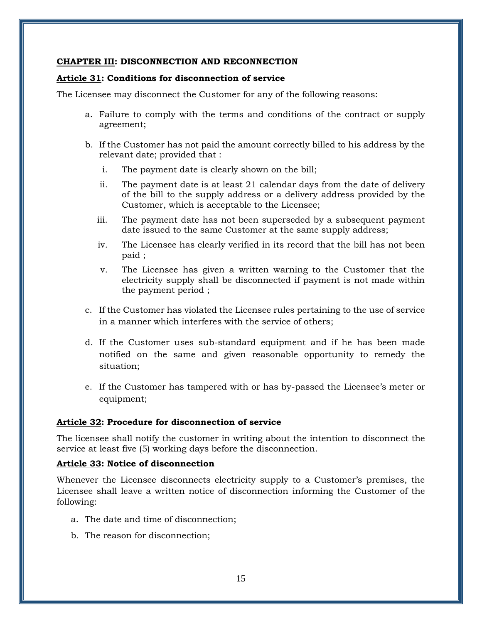#### <span id="page-14-0"></span>**CHAPTER III: DISCONNECTION AND RECONNECTION**

#### <span id="page-14-1"></span>**Article 31: Conditions for disconnection of service**

The Licensee may disconnect the Customer for any of the following reasons:

- a. Failure to comply with the terms and conditions of the contract or supply agreement;
- b. If the Customer has not paid the amount correctly billed to his address by the relevant date; provided that :
	- i. The payment date is clearly shown on the bill;
	- ii. The payment date is at least 21 calendar days from the date of delivery of the bill to the supply address or a delivery address provided by the Customer, which is acceptable to the Licensee;
	- iii. The payment date has not been superseded by a subsequent payment date issued to the same Customer at the same supply address;
	- iv. The Licensee has clearly verified in its record that the bill has not been paid ;
	- v. The Licensee has given a written warning to the Customer that the electricity supply shall be disconnected if payment is not made within the payment period ;
- c. If the Customer has violated the Licensee rules pertaining to the use of service in a manner which interferes with the service of others;
- d. If the Customer uses sub-standard equipment and if he has been made notified on the same and given reasonable opportunity to remedy the situation;
- e. If the Customer has tampered with or has by-passed the Licensee's meter or equipment;

#### <span id="page-14-2"></span>**Article 32: Procedure for disconnection of service**

The licensee shall notify the customer in writing about the intention to disconnect the service at least five (5) working days before the disconnection.

#### <span id="page-14-3"></span>**Article 33: Notice of disconnection**

Whenever the Licensee disconnects electricity supply to a Customer's premises, the Licensee shall leave a written notice of disconnection informing the Customer of the following:

- a. The date and time of disconnection;
- b. The reason for disconnection;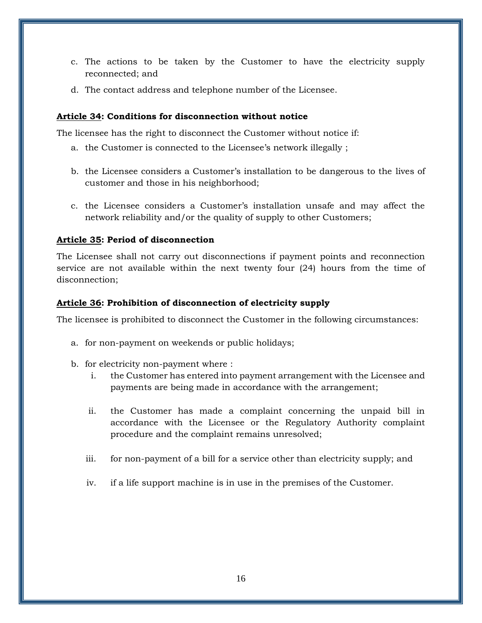- c. The actions to be taken by the Customer to have the electricity supply reconnected; and
- d. The contact address and telephone number of the Licensee.

## <span id="page-15-0"></span>**Article 34: Conditions for disconnection without notice**

The licensee has the right to disconnect the Customer without notice if:

- a. the Customer is connected to the Licensee's network illegally ;
- b. the Licensee considers a Customer's installation to be dangerous to the lives of customer and those in his neighborhood;
- c. the Licensee considers a Customer's installation unsafe and may affect the network reliability and/or the quality of supply to other Customers;

#### <span id="page-15-1"></span>**Article 35: Period of disconnection**

The Licensee shall not carry out disconnections if payment points and reconnection service are not available within the next twenty four (24) hours from the time of disconnection;

#### <span id="page-15-2"></span>**Article 36: Prohibition of disconnection of electricity supply**

The licensee is prohibited to disconnect the Customer in the following circumstances:

- a. for non-payment on weekends or public holidays;
- b. for electricity non-payment where :
	- i. the Customer has entered into payment arrangement with the Licensee and payments are being made in accordance with the arrangement;
	- ii. the Customer has made a complaint concerning the unpaid bill in accordance with the Licensee or the Regulatory Authority complaint procedure and the complaint remains unresolved;
	- iii. for non-payment of a bill for a service other than electricity supply; and
	- iv. if a life support machine is in use in the premises of the Customer.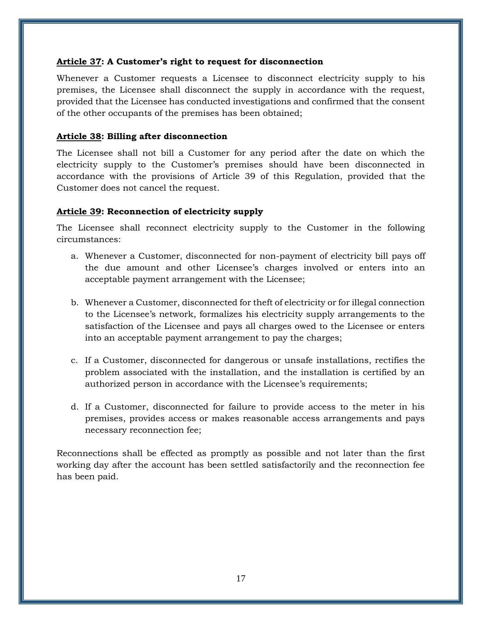#### <span id="page-16-0"></span>**Article 37: A Customer's right to request for disconnection**

Whenever a Customer requests a Licensee to disconnect electricity supply to his premises, the Licensee shall disconnect the supply in accordance with the request, provided that the Licensee has conducted investigations and confirmed that the consent of the other occupants of the premises has been obtained;

#### <span id="page-16-1"></span>**Article 38: Billing after disconnection**

The Licensee shall not bill a Customer for any period after the date on which the electricity supply to the Customer's premises should have been disconnected in accordance with the provisions of Article 39 of this Regulation, provided that the Customer does not cancel the request.

## <span id="page-16-2"></span>**Article 39: Reconnection of electricity supply**

The Licensee shall reconnect electricity supply to the Customer in the following circumstances:

- a. Whenever a Customer, disconnected for non-payment of electricity bill pays off the due amount and other Licensee's charges involved or enters into an acceptable payment arrangement with the Licensee;
- b. Whenever a Customer, disconnected for theft of electricity or for illegal connection to the Licensee's network, formalizes his electricity supply arrangements to the satisfaction of the Licensee and pays all charges owed to the Licensee or enters into an acceptable payment arrangement to pay the charges;
- c. If a Customer, disconnected for dangerous or unsafe installations, rectifies the problem associated with the installation, and the installation is certified by an authorized person in accordance with the Licensee's requirements;
- d. If a Customer, disconnected for failure to provide access to the meter in his premises, provides access or makes reasonable access arrangements and pays necessary reconnection fee;

Reconnections shall be effected as promptly as possible and not later than the first working day after the account has been settled satisfactorily and the reconnection fee has been paid.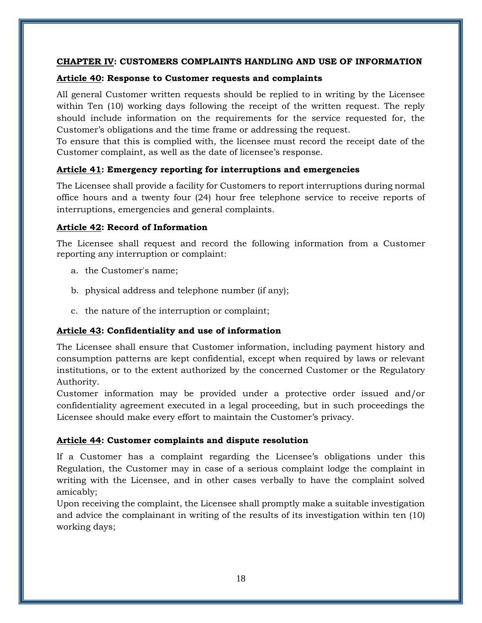#### <span id="page-17-0"></span>**CHAPTER IV: CUSTOMERS COMPLAINTS HANDLING AND USE OF INFORMATION**

#### <span id="page-17-1"></span>**Article 40: Response to Customer requests and complaints**

All general Customer written requests should be replied to in writing by the Licensee within Ten (10) working days following the receipt of the written request. The reply should include information on the requirements for the service requested for, the Customer's obligations and the time frame or addressing the request.

To ensure that this is complied with, the licensee must record the receipt date of the Customer complaint, as well as the date of licensee's response.

## <span id="page-17-2"></span>**Article 41: Emergency reporting for interruptions and emergencies**

The Licensee shall provide a facility for Customers to report interruptions during normal office hours and a twenty four (24) hour free telephone service to receive reports of interruptions, emergencies and general complaints.

## <span id="page-17-3"></span>**Article 42: Record of Information**

The Licensee shall request and record the following information from a Customer reporting any interruption or complaint:

- a. the Customer's name;
- b. physical address and telephone number (if any);
- c. the nature of the interruption or complaint;

# <span id="page-17-4"></span>**Article 43: Confidentiality and use of information**

The Licensee shall ensure that Customer information, including payment history and consumption patterns are kept confidential, except when required by laws or relevant institutions, or to the extent authorized by the concerned Customer or the Regulatory Authority.

Customer information may be provided under a protective order issued and/or confidentiality agreement executed in a legal proceeding, but in such proceedings the Licensee should make every effort to maintain the Customer's privacy.

## <span id="page-17-5"></span>**Article 44: Customer complaints and dispute resolution**

If a Customer has a complaint regarding the Licensee's obligations under this Regulation, the Customer may in case of a serious complaint lodge the complaint in writing with the Licensee, and in other cases verbally to have the complaint solved amicably;

Upon receiving the complaint, the Licensee shall promptly make a suitable investigation and advice the complainant in writing of the results of its investigation within ten (10) working days;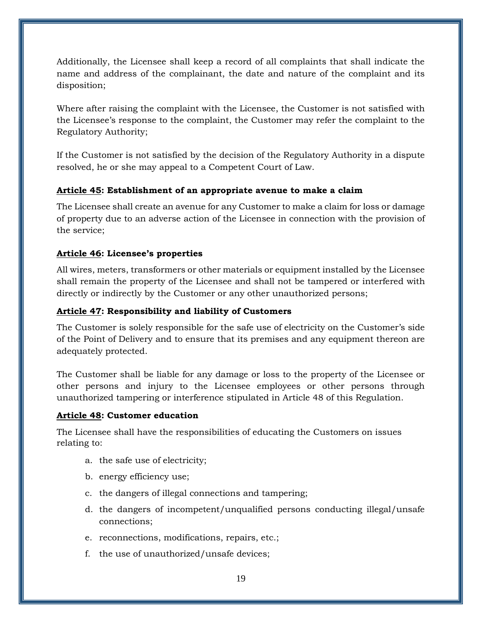Additionally, the Licensee shall keep a record of all complaints that shall indicate the name and address of the complainant, the date and nature of the complaint and its disposition;

Where after raising the complaint with the Licensee, the Customer is not satisfied with the Licensee's response to the complaint, the Customer may refer the complaint to the Regulatory Authority;

If the Customer is not satisfied by the decision of the Regulatory Authority in a dispute resolved, he or she may appeal to a Competent Court of Law.

# <span id="page-18-0"></span>**Article 45: Establishment of an appropriate avenue to make a claim**

The Licensee shall create an avenue for any Customer to make a claim for loss or damage of property due to an adverse action of the Licensee in connection with the provision of the service;

## <span id="page-18-1"></span>**Article 46: Licensee's properties**

All wires, meters, transformers or other materials or equipment installed by the Licensee shall remain the property of the Licensee and shall not be tampered or interfered with directly or indirectly by the Customer or any other unauthorized persons;

## <span id="page-18-2"></span>**Article 47: Responsibility and liability of Customers**

The Customer is solely responsible for the safe use of electricity on the Customer's side of the Point of Delivery and to ensure that its premises and any equipment thereon are adequately protected.

The Customer shall be liable for any damage or loss to the property of the Licensee or other persons and injury to the Licensee employees or other persons through unauthorized tampering or interference stipulated in Article 48 of this Regulation.

## <span id="page-18-3"></span>**Article 48: Customer education**

The Licensee shall have the responsibilities of educating the Customers on issues relating to:

- a. the safe use of electricity;
- b. energy efficiency use;
- c. the dangers of illegal connections and tampering;
- d. the dangers of incompetent/unqualified persons conducting illegal/unsafe connections;
- e. reconnections, modifications, repairs, etc.;
- f. the use of unauthorized/unsafe devices;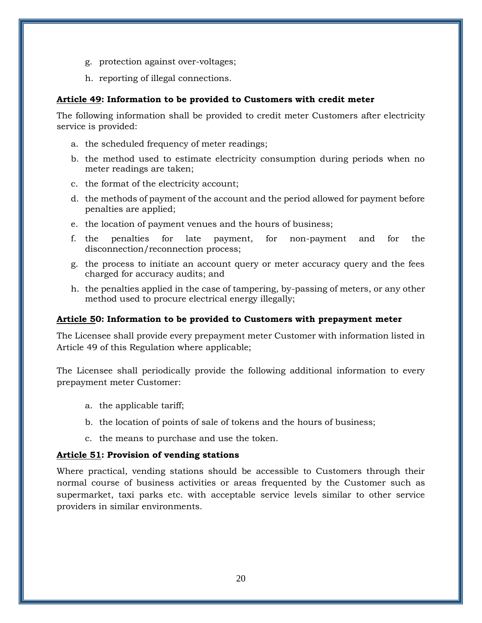- g. protection against over-voltages;
- h. reporting of illegal connections.

## <span id="page-19-0"></span>**Article 49: Information to be provided to Customers with credit meter**

The following information shall be provided to credit meter Customers after electricity service is provided:

- a. the scheduled frequency of meter readings;
- b. the method used to estimate electricity consumption during periods when no meter readings are taken;
- c. the format of the electricity account;
- d. the methods of payment of the account and the period allowed for payment before penalties are applied;
- e. the location of payment venues and the hours of business;
- f. the penalties for late payment, for non-payment and for the disconnection/reconnection process;
- g. the process to initiate an account query or meter accuracy query and the fees charged for accuracy audits; and
- h. the penalties applied in the case of tampering, by-passing of meters, or any other method used to procure electrical energy illegally;

## <span id="page-19-1"></span>**Article 50: Information to be provided to Customers with prepayment meter**

The Licensee shall provide every prepayment meter Customer with information listed in Article 49 of this Regulation where applicable;

The Licensee shall periodically provide the following additional information to every prepayment meter Customer:

- a. the applicable tariff;
- b. the location of points of sale of tokens and the hours of business;
- c. the means to purchase and use the token.

## <span id="page-19-2"></span>**Article 51: Provision of vending stations**

Where practical, vending stations should be accessible to Customers through their normal course of business activities or areas frequented by the Customer such as supermarket, taxi parks etc. with acceptable service levels similar to other service providers in similar environments.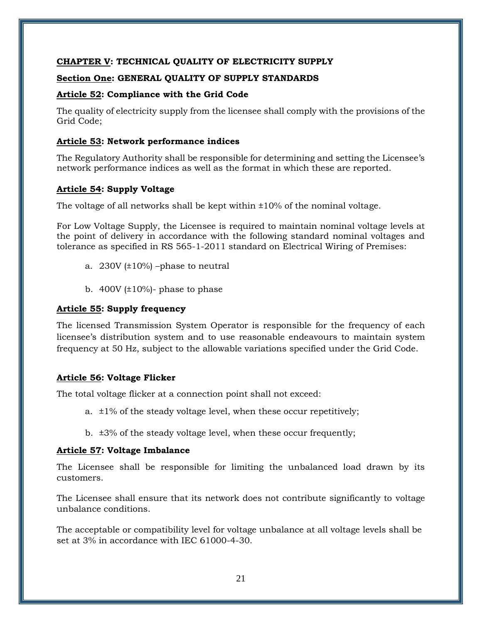#### <span id="page-20-0"></span>**CHAPTER V: TECHNICAL QUALITY OF ELECTRICITY SUPPLY**

#### <span id="page-20-1"></span>**Section One: GENERAL QUALITY OF SUPPLY STANDARDS**

#### <span id="page-20-2"></span>**Article 52: Compliance with the Grid Code**

The quality of electricity supply from the licensee shall comply with the provisions of the Grid Code;

#### <span id="page-20-3"></span>**Article 53: Network performance indices**

The Regulatory Authority shall be responsible for determining and setting the Licensee's network performance indices as well as the format in which these are reported.

## <span id="page-20-4"></span>**Article 54: Supply Voltage**

The voltage of all networks shall be kept within  $\pm 10\%$  of the nominal voltage.

For Low Voltage Supply, the Licensee is required to maintain nominal voltage levels at the point of delivery in accordance with the following standard nominal voltages and tolerance as specified in RS 565-1-2011 standard on Electrical Wiring of Premises:

- a.  $230V$  ( $\pm 10\%$ ) –phase to neutral
- b.  $400V$  ( $\pm 10\%$ )- phase to phase

## <span id="page-20-5"></span>**Article 55: Supply frequency**

The licensed Transmission System Operator is responsible for the frequency of each licensee's distribution system and to use reasonable endeavours to maintain system frequency at 50 Hz, subject to the allowable variations specified under the Grid Code.

## <span id="page-20-6"></span>**Article 56: Voltage Flicker**

The total voltage flicker at a connection point shall not exceed:

- a.  $\pm 1\%$  of the steady voltage level, when these occur repetitively;
- b. ±3% of the steady voltage level, when these occur frequently;

## <span id="page-20-7"></span>**Article 57: Voltage Imbalance**

The Licensee shall be responsible for limiting the unbalanced load drawn by its customers.

The Licensee shall ensure that its network does not contribute significantly to voltage unbalance conditions.

The acceptable or compatibility level for voltage unbalance at all voltage levels shall be set at 3% in accordance with IEC 61000-4-30.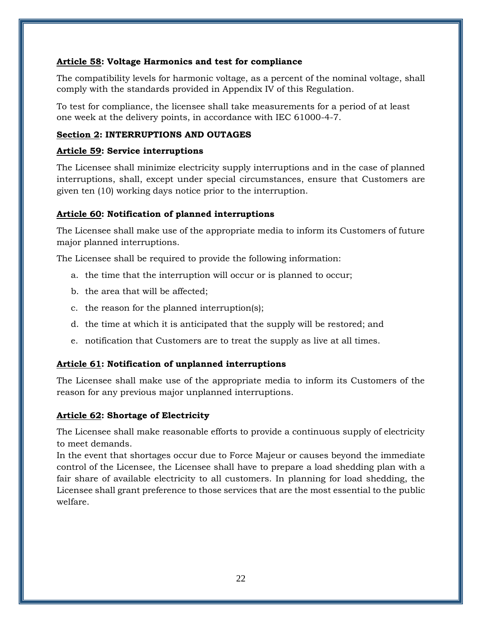## <span id="page-21-0"></span>**Article 58: Voltage Harmonics and test for compliance**

The compatibility levels for harmonic voltage, as a percent of the nominal voltage, shall comply with the standards provided in Appendix IV of this Regulation.

To test for compliance, the licensee shall take measurements for a period of at least one week at the delivery points, in accordance with IEC 61000-4-7.

## <span id="page-21-1"></span>**Section 2: INTERRUPTIONS AND OUTAGES**

#### <span id="page-21-2"></span>**Article 59: Service interruptions**

The Licensee shall minimize electricity supply interruptions and in the case of planned interruptions, shall, except under special circumstances, ensure that Customers are given ten (10) working days notice prior to the interruption.

## <span id="page-21-3"></span>**Article 60: Notification of planned interruptions**

The Licensee shall make use of the appropriate media to inform its Customers of future major planned interruptions.

The Licensee shall be required to provide the following information:

- a. the time that the interruption will occur or is planned to occur;
- b. the area that will be affected;
- c. the reason for the planned interruption(s);
- d. the time at which it is anticipated that the supply will be restored; and
- e. notification that Customers are to treat the supply as live at all times.

# <span id="page-21-4"></span>**Article 61: Notification of unplanned interruptions**

The Licensee shall make use of the appropriate media to inform its Customers of the reason for any previous major unplanned interruptions.

## <span id="page-21-5"></span>**Article 62: Shortage of Electricity**

The Licensee shall make reasonable efforts to provide a continuous supply of electricity to meet demands.

In the event that shortages occur due to Force Majeur or causes beyond the immediate control of the Licensee, the Licensee shall have to prepare a load shedding plan with a fair share of available electricity to all customers. In planning for load shedding, the Licensee shall grant preference to those services that are the most essential to the public welfare.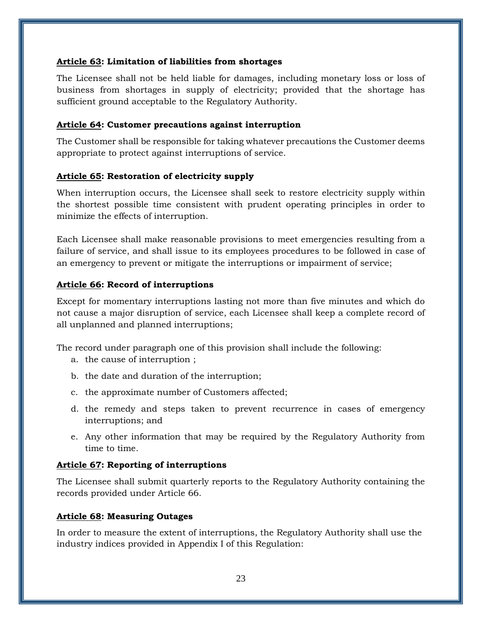#### <span id="page-22-0"></span>**Article 63: Limitation of liabilities from shortages**

The Licensee shall not be held liable for damages, including monetary loss or loss of business from shortages in supply of electricity; provided that the shortage has sufficient ground acceptable to the Regulatory Authority.

#### <span id="page-22-1"></span>**Article 64: Customer precautions against interruption**

The Customer shall be responsible for taking whatever precautions the Customer deems appropriate to protect against interruptions of service.

#### <span id="page-22-2"></span>**Article 65: Restoration of electricity supply**

When interruption occurs, the Licensee shall seek to restore electricity supply within the shortest possible time consistent with prudent operating principles in order to minimize the effects of interruption.

Each Licensee shall make reasonable provisions to meet emergencies resulting from a failure of service, and shall issue to its employees procedures to be followed in case of an emergency to prevent or mitigate the interruptions or impairment of service;

## <span id="page-22-3"></span>**Article 66: Record of interruptions**

Except for momentary interruptions lasting not more than five minutes and which do not cause a major disruption of service, each Licensee shall keep a complete record of all unplanned and planned interruptions;

The record under paragraph one of this provision shall include the following:

- a. the cause of interruption ;
- b. the date and duration of the interruption;
- c. the approximate number of Customers affected;
- d. the remedy and steps taken to prevent recurrence in cases of emergency interruptions; and
- e. Any other information that may be required by the Regulatory Authority from time to time.

## <span id="page-22-4"></span>**Article 67: Reporting of interruptions**

The Licensee shall submit quarterly reports to the Regulatory Authority containing the records provided under Article 66.

#### <span id="page-22-5"></span>**Article 68: Measuring Outages**

In order to measure the extent of interruptions, the Regulatory Authority shall use the industry indices provided in Appendix I of this Regulation: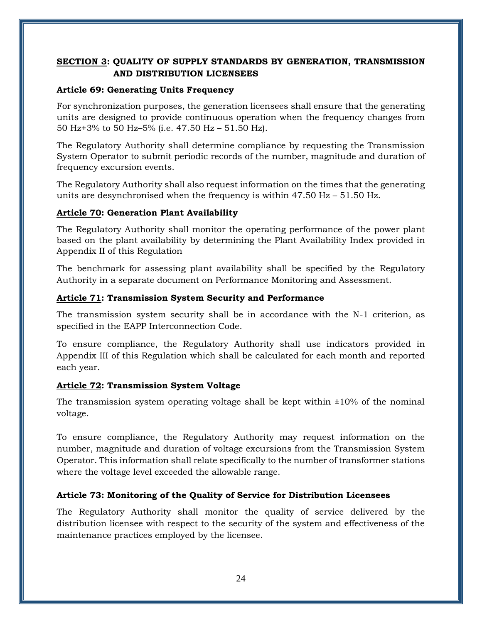# <span id="page-23-0"></span>**SECTION 3: QUALITY OF SUPPLY STANDARDS BY GENERATION, TRANSMISSION AND DISTRIBUTION LICENSEES**

## <span id="page-23-1"></span>**Article 69: Generating Units Frequency**

For synchronization purposes, the generation licensees shall ensure that the generating units are designed to provide continuous operation when the frequency changes from 50 Hz+3% to 50 Hz–5% (i.e. 47.50 Hz – 51.50 Hz).

The Regulatory Authority shall determine compliance by requesting the Transmission System Operator to submit periodic records of the number, magnitude and duration of frequency excursion events.

The Regulatory Authority shall also request information on the times that the generating units are desynchronised when the frequency is within  $47.50$  Hz –  $51.50$  Hz.

# <span id="page-23-2"></span>**Article 70: Generation Plant Availability**

The Regulatory Authority shall monitor the operating performance of the power plant based on the plant availability by determining the Plant Availability Index provided in Appendix II of this Regulation

The benchmark for assessing plant availability shall be specified by the Regulatory Authority in a separate document on Performance Monitoring and Assessment.

## <span id="page-23-3"></span>**Article 71: Transmission System Security and Performance**

The transmission system security shall be in accordance with the N-1 criterion, as specified in the EAPP Interconnection Code.

To ensure compliance, the Regulatory Authority shall use indicators provided in Appendix III of this Regulation which shall be calculated for each month and reported each year.

# <span id="page-23-4"></span>**Article 72: Transmission System Voltage**

The transmission system operating voltage shall be kept within  $\pm 10\%$  of the nominal voltage.

To ensure compliance, the Regulatory Authority may request information on the number, magnitude and duration of voltage excursions from the Transmission System Operator. This information shall relate specifically to the number of transformer stations where the voltage level exceeded the allowable range.

# <span id="page-23-5"></span>**Article 73: Monitoring of the Quality of Service for Distribution Licensees**

The Regulatory Authority shall monitor the quality of service delivered by the distribution licensee with respect to the security of the system and effectiveness of the maintenance practices employed by the licensee.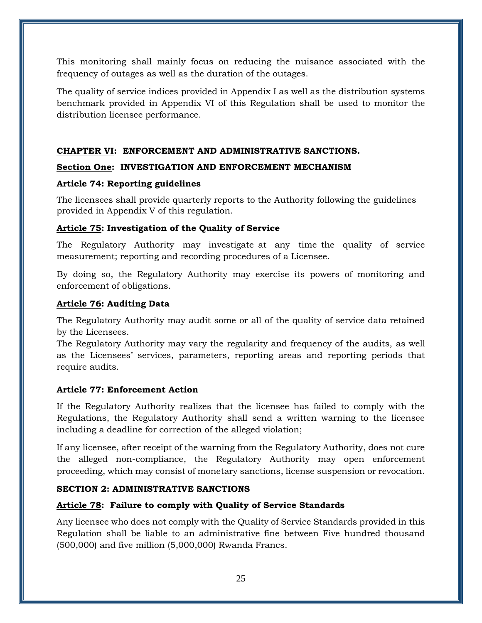This monitoring shall mainly focus on reducing the nuisance associated with the frequency of outages as well as the duration of the outages.

The quality of service indices provided in Appendix I as well as the distribution systems benchmark provided in Appendix VI of this Regulation shall be used to monitor the distribution licensee performance.

## <span id="page-24-0"></span>**CHAPTER VI: ENFORCEMENT AND ADMINISTRATIVE SANCTIONS.**

## <span id="page-24-1"></span>**Section One: INVESTIGATION AND ENFORCEMENT MECHANISM**

## <span id="page-24-2"></span>**Article 74: Reporting guidelines**

The licensees shall provide quarterly reports to the Authority following the guidelines provided in Appendix V of this regulation.

## **Article 75: Investigation of the Quality of Service**

The Regulatory Authority may investigate at any time the quality of service measurement; reporting and recording procedures of a Licensee.

By doing so, the Regulatory Authority may exercise its powers of monitoring and enforcement of obligations.

#### <span id="page-24-3"></span>**Article 76: Auditing Data**

The Regulatory Authority may audit some or all of the quality of service data retained by the Licensees.

The Regulatory Authority may vary the regularity and frequency of the audits, as well as the Licensees' services, parameters, reporting areas and reporting periods that require audits.

## <span id="page-24-4"></span>**Article 77: Enforcement Action**

If the Regulatory Authority realizes that the licensee has failed to comply with the Regulations, the Regulatory Authority shall send a written warning to the licensee including a deadline for correction of the alleged violation;

If any licensee, after receipt of the warning from the Regulatory Authority, does not cure the alleged non-compliance, the Regulatory Authority may open enforcement proceeding, which may consist of monetary sanctions, license suspension or revocation.

## <span id="page-24-5"></span>**SECTION 2: ADMINISTRATIVE SANCTIONS**

## <span id="page-24-6"></span>**Article 78: Failure to comply with Quality of Service Standards**

Any licensee who does not comply with the Quality of Service Standards provided in this Regulation shall be liable to an administrative fine between Five hundred thousand (500,000) and five million (5,000,000) Rwanda Francs.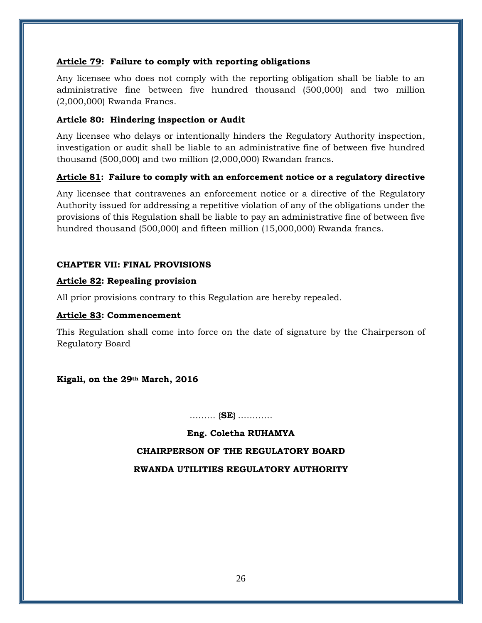## <span id="page-25-0"></span>**Article 79: Failure to comply with reporting obligations**

Any licensee who does not comply with the reporting obligation shall be liable to an administrative fine between five hundred thousand (500,000) and two million (2,000,000) Rwanda Francs.

## <span id="page-25-1"></span>**Article 80: [Hindering inspection](https://www.google.rw/url?sa=t&rct=j&q=&esrc=s&source=web&cd=4&cad=rja&uact=8&ved=0ahUKEwjpjZC_5tjKAhXG8RQKHRAnCCEQFggsMAM&url=https%3A%2F%2Fuokik.gov.pl%2Fnews.php%3Fnews_id%3D2327%26news_page%3D37&usg=AFQjCNEEpJ-syVnJhAB2myVQrKZu0g_2Mg&bvm=bv.113034660,d.bGQ) or Audit**

Any licensee who delays or intentionally hinders the Regulatory Authority inspection, investigation or audit shall be liable to an administrative fine of between five hundred thousand (500,000) and two million (2,000,000) Rwandan francs.

# <span id="page-25-2"></span>**Article 81: Failure to comply with an enforcement notice or a regulatory directive**

Any licensee that contravenes an enforcement notice or a directive of the Regulatory Authority issued for addressing a repetitive violation of any of the obligations under the provisions of this Regulation shall be liable to pay an administrative fine of between five hundred thousand (500,000) and fifteen million (15,000,000) Rwanda francs.

## <span id="page-25-3"></span>**CHAPTER VII: FINAL PROVISIONS**

## <span id="page-25-4"></span>**Article 82: Repealing provision**

All prior provisions contrary to this Regulation are hereby repealed.

## <span id="page-25-5"></span>**Article 83: Commencement**

This Regulation shall come into force on the date of signature by the Chairperson of Regulatory Board

## **Kigali, on the 29th March, 2016**

……… **{SE}** …………

**Eng. Coletha RUHAMYA CHAIRPERSON OF THE REGULATORY BOARD RWANDA UTILITIES REGULATORY AUTHORITY**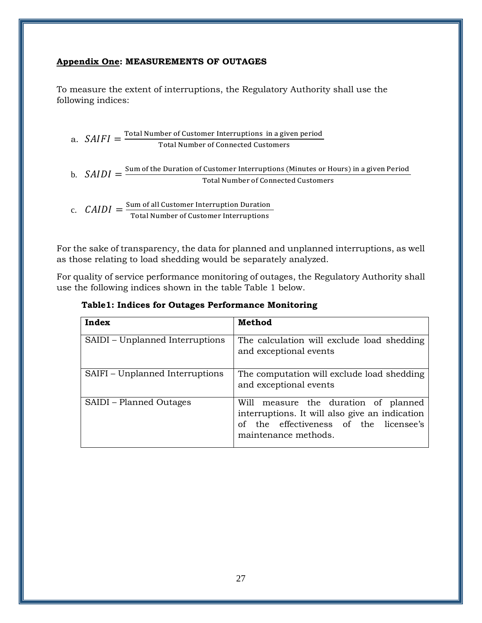## <span id="page-26-0"></span>**Appendix One: MEASUREMENTS OF OUTAGES**

To measure the extent of interruptions, the Regulatory Authority shall use the following indices:

a.  $SAIFI = \frac{Total Number of Customer Interruptions in a given period}{Total Number of Current System sets}$ Total Number of Connected Customers

b. 
$$
SAIDI = \frac{Sum of the Duration of Customer Interruptions (Minutes or Hours) in a given Period}
$$
  
**Total Number of Connected Customers**

c. 
$$
CAIDI = \frac{\text{Sum of all Customer Interruption Duration}}{\text{Total Number of Customer Interruptions}}
$$

For the sake of transparency, the data for planned and unplanned interruptions, as well as those relating to load shedding would be separately analyzed.

For quality of service performance monitoring of outages, the Regulatory Authority shall use the following indices shown in the table Table 1 below.

| Table1: Indices for Outages Performance Monitoring |  |  |  |
|----------------------------------------------------|--|--|--|
|                                                    |  |  |  |

| Index                           | Method                                                                                                                                                      |  |  |
|---------------------------------|-------------------------------------------------------------------------------------------------------------------------------------------------------------|--|--|
| SAIDI – Unplanned Interruptions | The calculation will exclude load shedding<br>and exceptional events                                                                                        |  |  |
| SAIFI – Unplanned Interruptions | The computation will exclude load shedding<br>and exceptional events                                                                                        |  |  |
| SAIDI – Planned Outages         | Will measure the duration of planned<br>interruptions. It will also give an indication<br>the effectiveness of the licensee's<br>Ω£<br>maintenance methods. |  |  |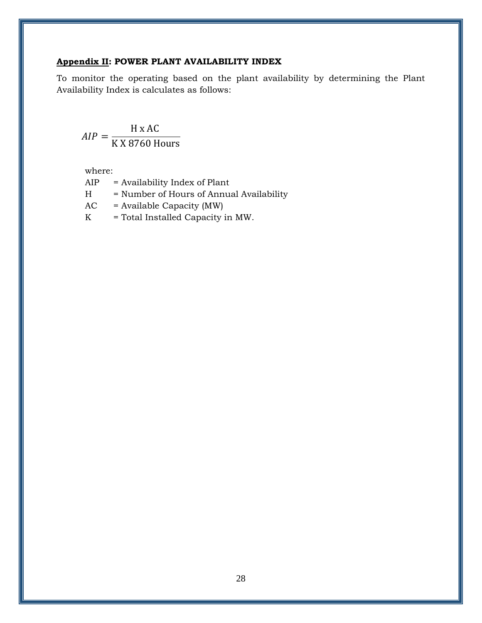## <span id="page-27-0"></span>**Appendix II: POWER PLANT AVAILABILITY INDEX**

To monitor the operating based on the plant availability by determining the Plant Availability Index is calculates as follows:

$$
AIP = \frac{H \times AC}{K \times 8760 \text{ Hours}}
$$

where:

AIP = Availability Index of Plant

H = Number of Hours of Annual Availability

 $AC = Available Capacity (MW)$ 

 $K = Total Insteadled Capacity in MW.$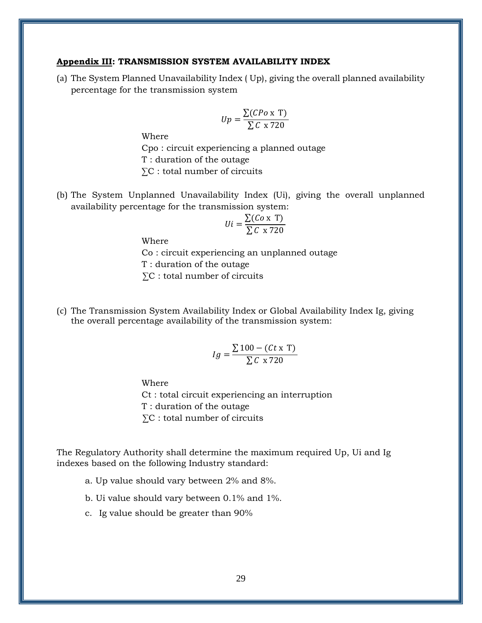#### <span id="page-28-0"></span>**Appendix III: TRANSMISSION SYSTEM AVAILABILITY INDEX**

(a) The System Planned Unavailability Index ( Up), giving the overall planned availability percentage for the transmission system

$$
Up = \frac{\sum (CPo \times T)}{\sum C \times 720}
$$

Where

Cpo : circuit experiencing a planned outage T : duration of the outage ∑C : total number of circuits

(b) The System Unplanned Unavailability Index (Ui), giving the overall unplanned availability percentage for the transmission system:

$$
Ui = \frac{\sum (Co \times T)}{\sum C \times 720}
$$

Where

Co : circuit experiencing an unplanned outage T : duration of the outage ∑C : total number of circuits

(c) The Transmission System Availability Index or Global Availability Index Ig, giving the overall percentage availability of the transmission system:

$$
Ig = \frac{\sum 100 - (Ct \times T)}{\sum C \times 720}
$$

Where

Ct : total circuit experiencing an interruption

T : duration of the outage

∑C : total number of circuits

The Regulatory Authority shall determine the maximum required Up, Ui and Ig indexes based on the following Industry standard:

a. Up value should vary between 2% and 8%.

b. Ui value should vary between 0.1% and 1%.

c. Ig value should be greater than 90%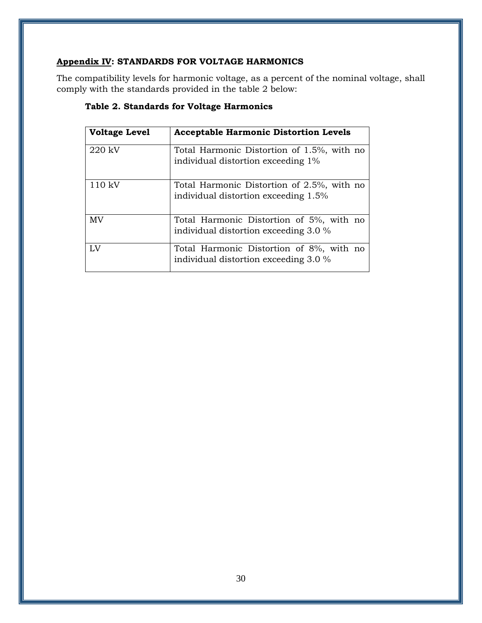# <span id="page-29-0"></span>**Appendix IV: STANDARDS FOR VOLTAGE HARMONICS**

The compatibility levels for harmonic voltage, as a percent of the nominal voltage, shall comply with the standards provided in the table 2 below:

| <b>Voltage Level</b> | <b>Acceptable Harmonic Distortion Levels</b>                                       |
|----------------------|------------------------------------------------------------------------------------|
| 220 kV               | Total Harmonic Distortion of 1.5%, with no<br>individual distortion exceeding 1%   |
| $110 \text{ kV}$     | Total Harmonic Distortion of 2.5%, with no<br>individual distortion exceeding 1.5% |
| <b>MV</b>            | Total Harmonic Distortion of 5%, with no<br>individual distortion exceeding 3.0 %  |
| $L_{\rm X}$          | Total Harmonic Distortion of 8%, with no<br>individual distortion exceeding 3.0 %  |

# **Table 2. Standards for Voltage Harmonics**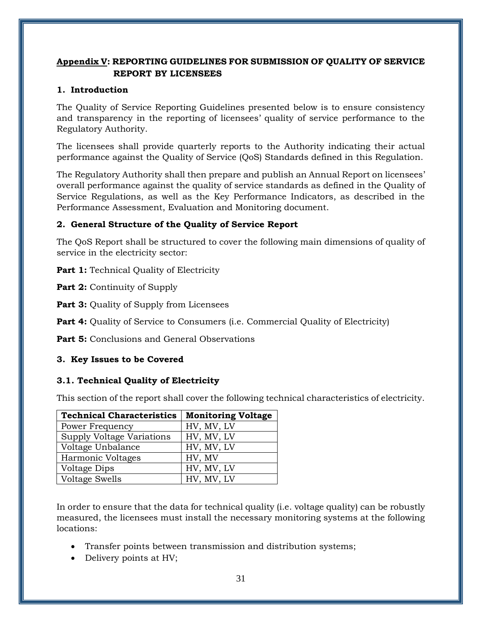# <span id="page-30-0"></span>**Appendix V: REPORTING GUIDELINES FOR SUBMISSION OF QUALITY OF SERVICE REPORT BY LICENSEES**

## **1. Introduction**

The Quality of Service Reporting Guidelines presented below is to ensure consistency and transparency in the reporting of licensees' quality of service performance to the Regulatory Authority.

The licensees shall provide quarterly reports to the Authority indicating their actual performance against the Quality of Service (QoS) Standards defined in this Regulation.

The Regulatory Authority shall then prepare and publish an Annual Report on licensees' overall performance against the quality of service standards as defined in the Quality of Service Regulations, as well as the Key Performance Indicators, as described in the Performance Assessment, Evaluation and Monitoring document.

# **2. General Structure of the Quality of Service Report**

The QoS Report shall be structured to cover the following main dimensions of quality of service in the electricity sector:

**Part 1:** Technical Quality of Electricity

**Part 2:** Continuity of Supply

**Part 3:** Quality of Supply from Licensees

**Part 4:** Quality of Service to Consumers (i.e. Commercial Quality of Electricity)

**Part 5:** Conclusions and General Observations

# **3. Key Issues to be Covered**

# **3.1. Technical Quality of Electricity**

This section of the report shall cover the following technical characteristics of electricity.

| <b>Technical Characteristics</b> | <b>Monitoring Voltage</b> |
|----------------------------------|---------------------------|
| Power Frequency                  | HV, MV, LV                |
| Supply Voltage Variations        | HV, MV, LV                |
| Voltage Unbalance                | HV, MV, LV                |
| Harmonic Voltages                | HV, MV                    |
| Voltage Dips                     | HV, MV, LV                |
| <b>Voltage Swells</b>            | HV, MV, LV                |

In order to ensure that the data for technical quality (i.e. voltage quality) can be robustly measured, the licensees must install the necessary monitoring systems at the following locations:

- Transfer points between transmission and distribution systems;
- Delivery points at HV;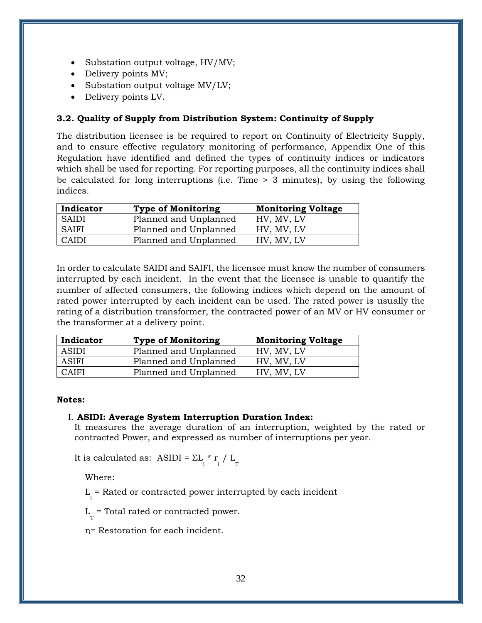- Substation output voltage, HV/MV;
- Delivery points MV;
- Substation output voltage MV/LV;
- Delivery points LV.

## **3.2. Quality of Supply from Distribution System: Continuity of Supply**

The distribution licensee is be required to report on Continuity of Electricity Supply, and to ensure effective regulatory monitoring of performance, Appendix One of this Regulation have identified and defined the types of continuity indices or indicators which shall be used for reporting. For reporting purposes, all the continuity indices shall be calculated for long interruptions (i.e. Time > 3 minutes), by using the following indices.

| Indicator    | <b>Type of Monitoring</b> | <b>Monitoring Voltage</b> |
|--------------|---------------------------|---------------------------|
| <b>SAIDI</b> | Planned and Unplanned     | HV, MV, LV                |
| <b>SAIFI</b> | Planned and Unplanned     | HV, MV, LV                |
| <b>CAIDI</b> | Planned and Unplanned     | HV. MV. LV                |

In order to calculate SAIDI and SAIFI, the licensee must know the number of consumers interrupted by each incident. In the event that the licensee is unable to quantify the number of affected consumers, the following indices which depend on the amount of rated power interrupted by each incident can be used. The rated power is usually the rating of a distribution transformer, the contracted power of an MV or HV consumer or the transformer at a delivery point.

| Indicator    | <b>Type of Monitoring</b> | <b>Monitoring Voltage</b> |
|--------------|---------------------------|---------------------------|
| <b>ASIDI</b> | Planned and Unplanned     | HV. MV. LV                |
| <b>ASIFI</b> | Planned and Unplanned     | HV. MV. LV                |
| <b>CAIFI</b> | Planned and Unplanned     | HV. MV. LV                |

#### **Notes:**

#### I. **ASIDI: Average System Interruption Duration Index:**

It measures the average duration of an interruption, weighted by the rated or contracted Power, and expressed as number of interruptions per year.

It is calculated as: ASIDI =  $\Sigma L_i^* r_i / L_T^*$ 

Where:

L i = Rated or contracted power interrupted by each incident

 $L_{\rm T}$  = Total rated or contracted power.

ri= Restoration for each incident.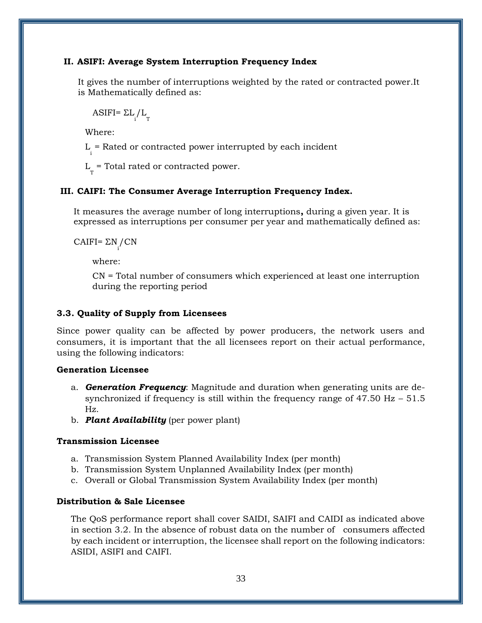#### **II. ASIFI: Average System Interruption Frequency Index**

It gives the number of interruptions weighted by the rated or contracted power.It is Mathematically defined as:

ASIFI=  $\Sigma L \Upsilon_T$ 

Where:

L i = Rated or contracted power interrupted by each incident

 $L_{\rm T}$  = Total rated or contracted power.

## **III. CAIFI: The Consumer Average Interruption Frequency Index.**

It measures the average number of long interruptions**,** during a given year. It is expressed as interruptions per consumer per year and mathematically defined as:

CAIFI=  $\Sigma$ N<sub>i</sub>/CN

where:

CN = Total number of consumers which experienced at least one interruption during the reporting period

## **3.3. Quality of Supply from Licensees**

Since power quality can be affected by power producers, the network users and consumers, it is important that the all licensees report on their actual performance, using the following indicators:

## **Generation Licensee**

- a. *Generation Frequency*: Magnitude and duration when generating units are desynchronized if frequency is still within the frequency range of  $47.50$  Hz  $-51.5$ Hz.
- b. *Plant Availability* (per power plant)

## **Transmission Licensee**

- a. Transmission System Planned Availability Index (per month)
- b. Transmission System Unplanned Availability Index (per month)
- c. Overall or Global Transmission System Availability Index (per month)

## **Distribution & Sale Licensee**

The QoS performance report shall cover SAIDI, SAIFI and CAIDI as indicated above in section 3.2. In the absence of robust data on the number of consumers affected by each incident or interruption, the licensee shall report on the following indicators: ASIDI, ASIFI and CAIFI.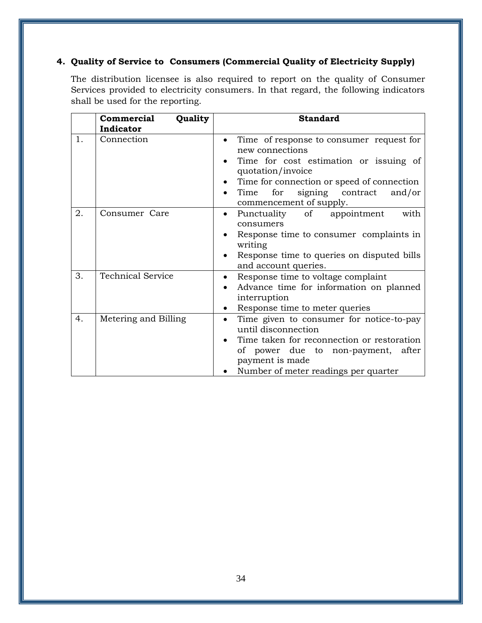# **4. Quality of Service to Consumers (Commercial Quality of Electricity Supply)**

The distribution licensee is also required to report on the quality of Consumer Services provided to electricity consumers. In that regard, the following indicators shall be used for the reporting.

|    | Quality<br>Commercial    | <b>Standard</b>                                                                                                                                                                                                                                            |  |  |
|----|--------------------------|------------------------------------------------------------------------------------------------------------------------------------------------------------------------------------------------------------------------------------------------------------|--|--|
|    | Indicator                |                                                                                                                                                                                                                                                            |  |  |
| 1. | Connection               | Time of response to consumer request for<br>$\bullet$<br>new connections<br>Time for cost estimation or issuing of<br>quotation/invoice<br>Time for connection or speed of connection<br>signing contract<br>Time for<br>and/or<br>commencement of supply. |  |  |
| 2. | Consumer Care            | Punctuality<br>of<br>with<br>appointment<br>$\bullet$<br>consumers<br>Response time to consumer complaints in<br>writing<br>Response time to queries on disputed bills<br>$\bullet$<br>and account queries.                                                |  |  |
| 3. | <b>Technical Service</b> | Response time to voltage complaint<br>٠<br>Advance time for information on planned<br>interruption<br>Response time to meter queries<br>$\bullet$                                                                                                          |  |  |
| 4. | Metering and Billing     | Time given to consumer for notice-to-pay<br>until disconnection<br>Time taken for reconnection or restoration<br>of power due to non-payment, after<br>payment is made<br>Number of meter readings per quarter                                             |  |  |